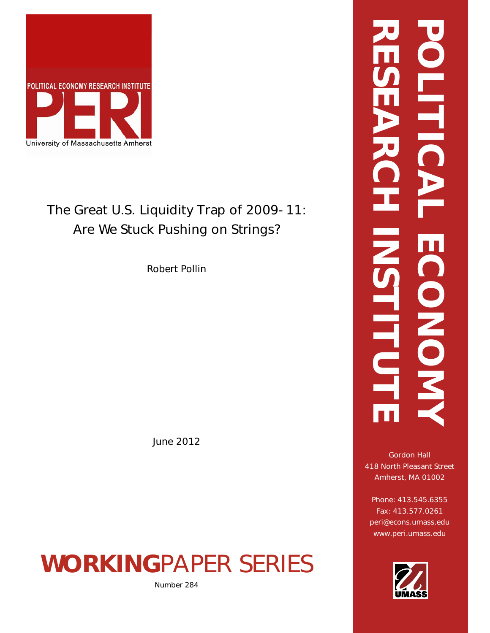

## The Great U.S. Liquidity Trap of 2009-11: Are We Stuck Pushing on Strings?

Robert Pollin

June 2012

# **WORKING**PAPER SERIES

Number 284

# **RESEARCH INSTITUTE POLITICAL ECONOMY NHTIC** ECONOM **HITO**

Gordon Hall 418 North Pleasant Street Amherst, MA 01002

Phone: 413.545.6355 Fax: 413.577.0261 peri@econs.umass.edu www.peri.umass.edu

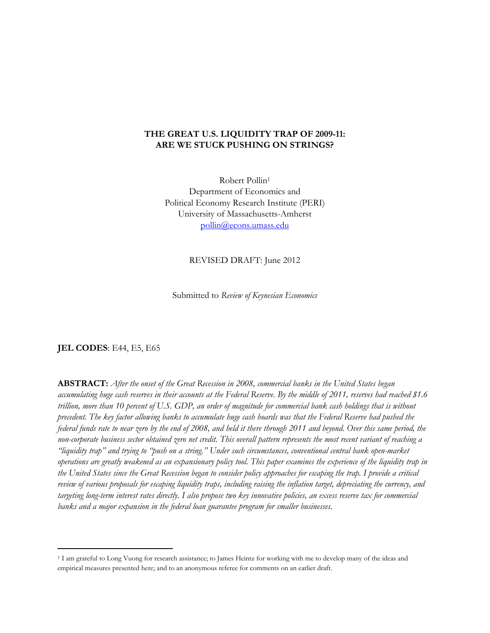#### **THE GREAT U.S. LIQUIDITY TRAP OF 2009-11: ARE WE STUCK PUSHING ON STRINGS?**

Robert Pollin1 Department of Economics and Political Economy Research Institute (PERI) University of Massachusetts-Amherst pollin@econs.umass.edu

#### REVISED DRAFT: June 2012

#### Submitted to *Review of Keynesian Economics*

#### **JEL CODES**: E44, E5, E65

 $\overline{a}$ 

**ABSTRACT:** *After the onset of the Great Recession in 2008, commercial banks in the United States began accumulating huge cash reserves in their accounts at the Federal Reserve. By the middle of 2011, reserves had reached \$1.6 trillion, more than 10 percent of U.S. GDP, an order of magnitude for commercial bank cash holdings that is without precedent. The key factor allowing banks to accumulate huge cash hoards was that the Federal Reserve had pushed the federal funds rate to near zero by the end of 2008, and held it there through 2011 and beyond. Over this same period, the non-corporate business sector obtained zero net credit. This overall pattern represents the most recent variant of reaching a "liquidity trap" and trying to "push on a string." Under such circumstances, conventional central bank open-market operations are greatly weakened as an expansionary policy tool. This paper examines the experience of the liquidity trap in the United States since the Great Recession began to consider policy approaches for escaping the trap. I provide a critical review of various proposals for escaping liquidity traps, including raising the inflation target, depreciating the currency, and targeting long-term interest rates directly. I also propose two key innovative policies, an excess reserve tax for commercial banks and a major expansion in the federal loan guarantee program for smaller businesses.* 

<sup>1</sup> I am grateful to Long Vuong for research assistance; to James Heintz for working with me to develop many of the ideas and empirical measures presented here; and to an anonymous referee for comments on an earlier draft.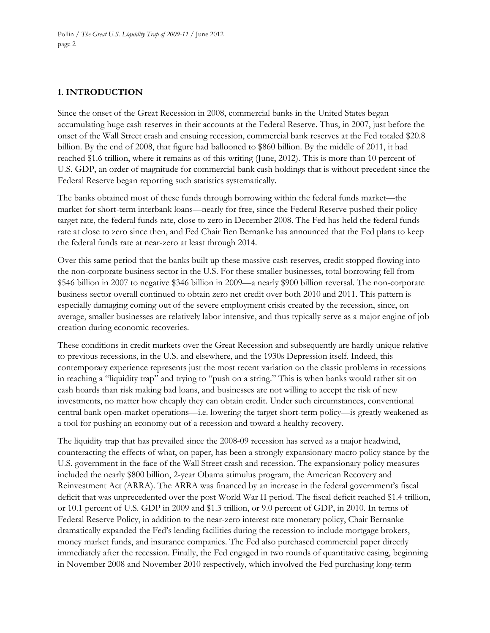#### **1. INTRODUCTION**

Since the onset of the Great Recession in 2008, commercial banks in the United States began accumulating huge cash reserves in their accounts at the Federal Reserve. Thus, in 2007, just before the onset of the Wall Street crash and ensuing recession, commercial bank reserves at the Fed totaled \$20.8 billion. By the end of 2008, that figure had ballooned to \$860 billion. By the middle of 2011, it had reached \$1.6 trillion, where it remains as of this writing (June, 2012). This is more than 10 percent of U.S. GDP, an order of magnitude for commercial bank cash holdings that is without precedent since the Federal Reserve began reporting such statistics systematically.

The banks obtained most of these funds through borrowing within the federal funds market—the market for short-term interbank loans—nearly for free, since the Federal Reserve pushed their policy target rate, the federal funds rate, close to zero in December 2008. The Fed has held the federal funds rate at close to zero since then, and Fed Chair Ben Bernanke has announced that the Fed plans to keep the federal funds rate at near-zero at least through 2014.

Over this same period that the banks built up these massive cash reserves, credit stopped flowing into the non-corporate business sector in the U.S. For these smaller businesses, total borrowing fell from \$546 billion in 2007 to negative \$346 billion in 2009—a nearly \$900 billion reversal. The non-corporate business sector overall continued to obtain zero net credit over both 2010 and 2011. This pattern is especially damaging coming out of the severe employment crisis created by the recession, since, on average, smaller businesses are relatively labor intensive, and thus typically serve as a major engine of job creation during economic recoveries.

These conditions in credit markets over the Great Recession and subsequently are hardly unique relative to previous recessions, in the U.S. and elsewhere, and the 1930s Depression itself. Indeed, this contemporary experience represents just the most recent variation on the classic problems in recessions in reaching a "liquidity trap" and trying to "push on a string." This is when banks would rather sit on cash hoards than risk making bad loans, and businesses are not willing to accept the risk of new investments, no matter how cheaply they can obtain credit. Under such circumstances, conventional central bank open-market operations—i.e. lowering the target short-term policy—is greatly weakened as a tool for pushing an economy out of a recession and toward a healthy recovery.

The liquidity trap that has prevailed since the 2008-09 recession has served as a major headwind, counteracting the effects of what, on paper, has been a strongly expansionary macro policy stance by the U.S. government in the face of the Wall Street crash and recession. The expansionary policy measures included the nearly \$800 billion, 2-year Obama stimulus program, the American Recovery and Reinvestment Act (ARRA). The ARRA was financed by an increase in the federal government's fiscal deficit that was unprecedented over the post World War II period. The fiscal deficit reached \$1.4 trillion, or 10.1 percent of U.S. GDP in 2009 and \$1.3 trillion, or 9.0 percent of GDP, in 2010. In terms of Federal Reserve Policy, in addition to the near-zero interest rate monetary policy, Chair Bernanke dramatically expanded the Fed's lending facilities during the recession to include mortgage brokers, money market funds, and insurance companies. The Fed also purchased commercial paper directly immediately after the recession. Finally, the Fed engaged in two rounds of quantitative easing, beginning in November 2008 and November 2010 respectively, which involved the Fed purchasing long-term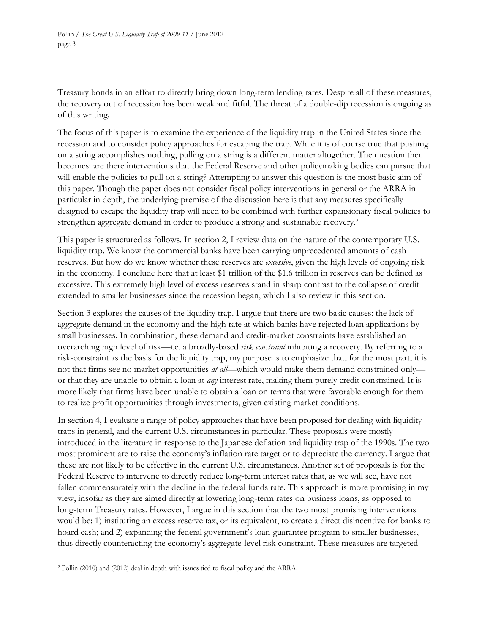Treasury bonds in an effort to directly bring down long-term lending rates. Despite all of these measures, the recovery out of recession has been weak and fitful. The threat of a double-dip recession is ongoing as of this writing.

The focus of this paper is to examine the experience of the liquidity trap in the United States since the recession and to consider policy approaches for escaping the trap. While it is of course true that pushing on a string accomplishes nothing, pulling on a string is a different matter altogether. The question then becomes: are there interventions that the Federal Reserve and other policymaking bodies can pursue that will enable the policies to pull on a string? Attempting to answer this question is the most basic aim of this paper. Though the paper does not consider fiscal policy interventions in general or the ARRA in particular in depth, the underlying premise of the discussion here is that any measures specifically designed to escape the liquidity trap will need to be combined with further expansionary fiscal policies to strengthen aggregate demand in order to produce a strong and sustainable recovery.2

This paper is structured as follows. In section 2, I review data on the nature of the contemporary U.S. liquidity trap. We know the commercial banks have been carrying unprecedented amounts of cash reserves. But how do we know whether these reserves are *excessive*, given the high levels of ongoing risk in the economy. I conclude here that at least \$1 trillion of the \$1.6 trillion in reserves can be defined as excessive. This extremely high level of excess reserves stand in sharp contrast to the collapse of credit extended to smaller businesses since the recession began, which I also review in this section.

Section 3 explores the causes of the liquidity trap. I argue that there are two basic causes: the lack of aggregate demand in the economy and the high rate at which banks have rejected loan applications by small businesses. In combination, these demand and credit-market constraints have established an overarching high level of risk—i.e. a broadly-based *risk constraint* inhibiting a recovery. By referring to a risk-constraint as the basis for the liquidity trap, my purpose is to emphasize that, for the most part, it is not that firms see no market opportunities *at all*—which would make them demand constrained only or that they are unable to obtain a loan at *any* interest rate, making them purely credit constrained. It is more likely that firms have been unable to obtain a loan on terms that were favorable enough for them to realize profit opportunities through investments, given existing market conditions.

In section 4, I evaluate a range of policy approaches that have been proposed for dealing with liquidity traps in general, and the current U.S. circumstances in particular. These proposals were mostly introduced in the literature in response to the Japanese deflation and liquidity trap of the 1990s. The two most prominent are to raise the economy's inflation rate target or to depreciate the currency. I argue that these are not likely to be effective in the current U.S. circumstances. Another set of proposals is for the Federal Reserve to intervene to directly reduce long-term interest rates that, as we will see, have not fallen commensurately with the decline in the federal funds rate. This approach is more promising in my view, insofar as they are aimed directly at lowering long-term rates on business loans, as opposed to long-term Treasury rates. However, I argue in this section that the two most promising interventions would be: 1) instituting an excess reserve tax, or its equivalent, to create a direct disincentive for banks to hoard cash; and 2) expanding the federal government's loan-guarantee program to smaller businesses, thus directly counteracting the economy's aggregate-level risk constraint. These measures are targeted

<sup>2</sup> Pollin (2010) and (2012) deal in depth with issues tied to fiscal policy and the ARRA.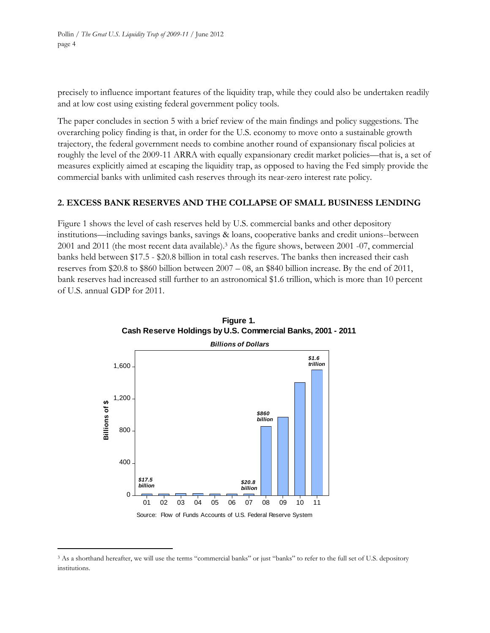precisely to influence important features of the liquidity trap, while they could also be undertaken readily and at low cost using existing federal government policy tools.

The paper concludes in section 5 with a brief review of the main findings and policy suggestions. The overarching policy finding is that, in order for the U.S. economy to move onto a sustainable growth trajectory, the federal government needs to combine another round of expansionary fiscal policies at roughly the level of the 2009-11 ARRA with equally expansionary credit market policies—that is, a set of measures explicitly aimed at escaping the liquidity trap, as opposed to having the Fed simply provide the commercial banks with unlimited cash reserves through its near-zero interest rate policy.

#### **2. EXCESS BANK RESERVES AND THE COLLAPSE OF SMALL BUSINESS LENDING**

Figure 1 shows the level of cash reserves held by U.S. commercial banks and other depository institutions—including savings banks, savings & loans, cooperative banks and credit unions--between 2001 and 2011 (the most recent data available).3 As the figure shows, between 2001 -07, commercial banks held between \$17.5 - \$20.8 billion in total cash reserves. The banks then increased their cash reserves from \$20.8 to \$860 billion between 2007 – 08, an \$840 billion increase. By the end of 2011, bank reserves had increased still further to an astronomical \$1.6 trillion, which is more than 10 percent of U.S. annual GDP for 2011.





<sup>3</sup> As a shorthand hereafter, we will use the terms "commercial banks" or just "banks" to refer to the full set of U.S. depository institutions.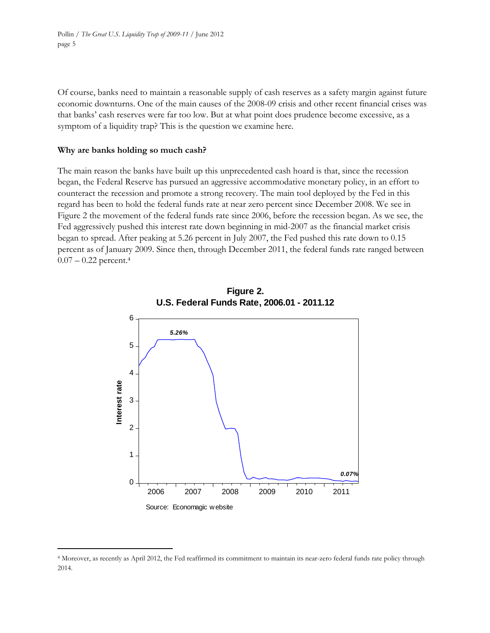Of course, banks need to maintain a reasonable supply of cash reserves as a safety margin against future economic downturns. One of the main causes of the 2008-09 crisis and other recent financial crises was that banks' cash reserves were far too low. But at what point does prudence become excessive, as a symptom of a liquidity trap? This is the question we examine here.

#### **Why are banks holding so much cash?**

 $\overline{a}$ 

The main reason the banks have built up this unprecedented cash hoard is that, since the recession began, the Federal Reserve has pursued an aggressive accommodative monetary policy, in an effort to counteract the recession and promote a strong recovery. The main tool deployed by the Fed in this regard has been to hold the federal funds rate at near zero percent since December 2008. We see in Figure 2 the movement of the federal funds rate since 2006, before the recession began. As we see, the Fed aggressively pushed this interest rate down beginning in mid-2007 as the financial market crisis began to spread. After peaking at 5.26 percent in July 2007, the Fed pushed this rate down to 0.15 percent as of January 2009. Since then, through December 2011, the federal funds rate ranged between  $0.07 - 0.22$  percent.<sup>4</sup>





<sup>4</sup> Moreover, as recently as April 2012, the Fed reaffirmed its commitment to maintain its near-zero federal funds rate policy through 2014.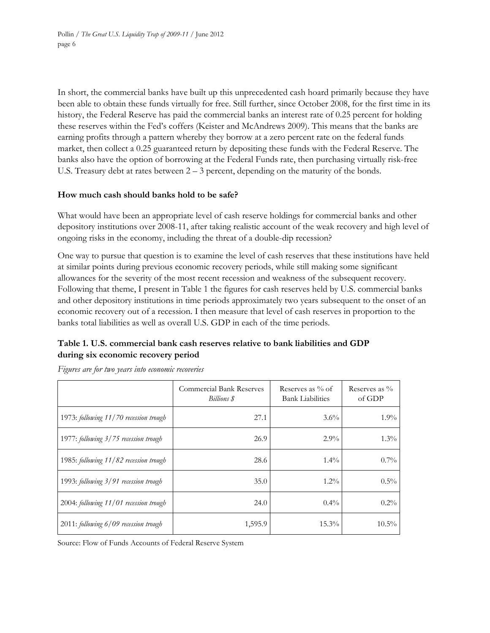In short, the commercial banks have built up this unprecedented cash hoard primarily because they have been able to obtain these funds virtually for free. Still further, since October 2008, for the first time in its history, the Federal Reserve has paid the commercial banks an interest rate of 0.25 percent for holding these reserves within the Fed's coffers (Keister and McAndrews 2009). This means that the banks are earning profits through a pattern whereby they borrow at a zero percent rate on the federal funds market, then collect a 0.25 guaranteed return by depositing these funds with the Federal Reserve. The banks also have the option of borrowing at the Federal Funds rate, then purchasing virtually risk-free U.S. Treasury debt at rates between 2 – 3 percent, depending on the maturity of the bonds.

#### **How much cash should banks hold to be safe?**

What would have been an appropriate level of cash reserve holdings for commercial banks and other depository institutions over 2008-11, after taking realistic account of the weak recovery and high level of ongoing risks in the economy, including the threat of a double-dip recession?

One way to pursue that question is to examine the level of cash reserves that these institutions have held at similar points during previous economic recovery periods, while still making some significant allowances for the severity of the most recent recession and weakness of the subsequent recovery. Following that theme, I present in Table 1 the figures for cash reserves held by U.S. commercial banks and other depository institutions in time periods approximately two years subsequent to the onset of an economic recovery out of a recession. I then measure that level of cash reserves in proportion to the banks total liabilities as well as overall U.S. GDP in each of the time periods.

#### **Table 1. U.S. commercial bank cash reserves relative to bank liabilities and GDP during six economic recovery period**

|                                        | <b>Commercial Bank Reserves</b><br>Billions \$ | Reserves as $\%$ of<br><b>Bank Liabilities</b> | Reserves as $\%$<br>of GDP |
|----------------------------------------|------------------------------------------------|------------------------------------------------|----------------------------|
| 1973: following 11/70 recession trough | 27.1                                           | $3.6\%$                                        | $1.9\%$                    |
| 1977: following 3/75 recession trough  | 26.9                                           | $2.9\%$                                        | $1.3\%$                    |
| 1985: following 11/82 recession trough | 28.6                                           | $1.4\%$                                        | $0.7\%$                    |
| 1993: following 3/91 recession trough  | 35.0                                           | $1.2\%$                                        | $0.5\%$                    |
| 2004: following 11/01 recession trough | 24.0                                           | $0.4\%$                                        | $0.2\%$                    |
| 2011: following 6/09 recession trough  | 1,595.9                                        | $15.3\%$                                       | $10.5\%$                   |

*Figures are for two years into economic recoveries*

Source: Flow of Funds Accounts of Federal Reserve System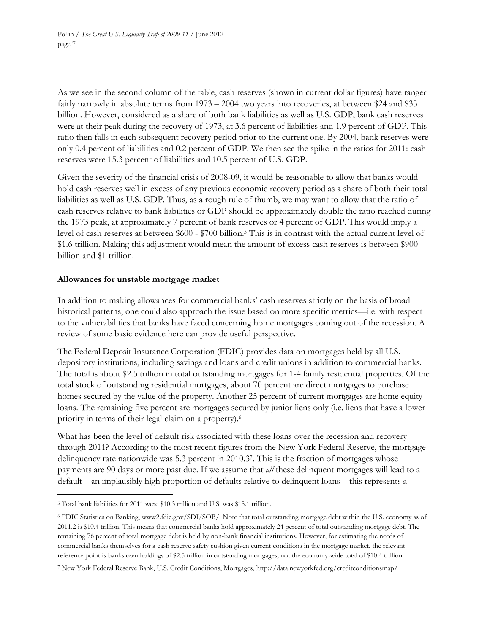As we see in the second column of the table, cash reserves (shown in current dollar figures) have ranged fairly narrowly in absolute terms from 1973 – 2004 two years into recoveries, at between \$24 and \$35 billion. However, considered as a share of both bank liabilities as well as U.S. GDP, bank cash reserves were at their peak during the recovery of 1973, at 3.6 percent of liabilities and 1.9 percent of GDP. This ratio then falls in each subsequent recovery period prior to the current one. By 2004, bank reserves were only 0.4 percent of liabilities and 0.2 percent of GDP. We then see the spike in the ratios for 2011: cash reserves were 15.3 percent of liabilities and 10.5 percent of U.S. GDP.

Given the severity of the financial crisis of 2008-09, it would be reasonable to allow that banks would hold cash reserves well in excess of any previous economic recovery period as a share of both their total liabilities as well as U.S. GDP. Thus, as a rough rule of thumb, we may want to allow that the ratio of cash reserves relative to bank liabilities or GDP should be approximately double the ratio reached during the 1973 peak, at approximately 7 percent of bank reserves or 4 percent of GDP. This would imply a level of cash reserves at between \$600 - \$700 billion.5 This is in contrast with the actual current level of \$1.6 trillion. Making this adjustment would mean the amount of excess cash reserves is between \$900 billion and \$1 trillion.

#### **Allowances for unstable mortgage market**

In addition to making allowances for commercial banks' cash reserves strictly on the basis of broad historical patterns, one could also approach the issue based on more specific metrics—i.e. with respect to the vulnerabilities that banks have faced concerning home mortgages coming out of the recession. A review of some basic evidence here can provide useful perspective.

The Federal Deposit Insurance Corporation (FDIC) provides data on mortgages held by all U.S. depository institutions, including savings and loans and credit unions in addition to commercial banks. The total is about \$2.5 trillion in total outstanding mortgages for 1-4 family residential properties. Of the total stock of outstanding residential mortgages, about 70 percent are direct mortgages to purchase homes secured by the value of the property. Another 25 percent of current mortgages are home equity loans. The remaining five percent are mortgages secured by junior liens only (i.e. liens that have a lower priority in terms of their legal claim on a property).6

What has been the level of default risk associated with these loans over the recession and recovery through 2011? According to the most recent figures from the New York Federal Reserve, the mortgage delinquency rate nationwide was 5.3 percent in 2010.37. This is the fraction of mortgages whose payments are 90 days or more past due. If we assume that *all* these delinquent mortgages will lead to a default—an implausibly high proportion of defaults relative to delinquent loans—this represents a

<sup>5</sup> Total bank liabilities for 2011 were \$10.3 trillion and U.S. was \$15.1 trillion.

<sup>6</sup> FDIC Statistics on Banking, www2.fdic.gov/SDI/SOB/. Note that total outstanding mortgage debt within the U.S. economy as of 2011.2 is \$10.4 trillion. This means that commercial banks hold approximately 24 percent of total outstanding mortgage debt. The remaining 76 percent of total mortgage debt is held by non-bank financial institutions. However, for estimating the needs of commercial banks themselves for a cash reserve safety cushion given current conditions in the mortgage market, the relevant reference point is banks own holdings of \$2.5 trillion in outstanding mortgages, not the economy-wide total of \$10.4 trillion.

<sup>7</sup> New York Federal Reserve Bank, U.S. Credit Conditions, Mortgages, http://data.newyorkfed.org/creditconditionsmap/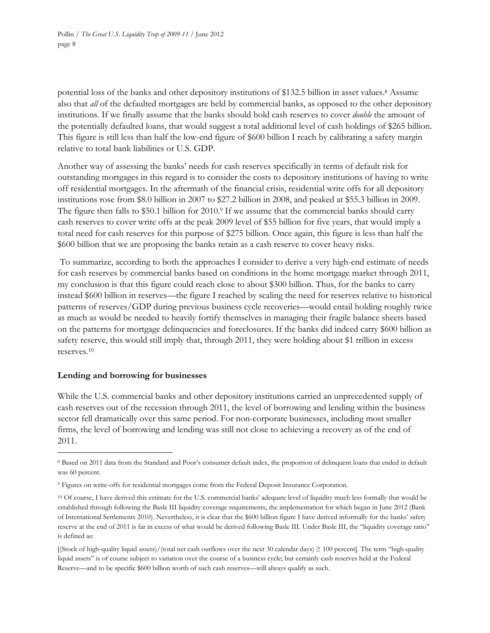potential loss of the banks and other depository institutions of \$132.5 billion in asset values.8 Assume also that *all* of the defaulted mortgages are held by commercial banks, as opposed to the other depository institutions. If we finally assume that the banks should hold cash reserves to cover *double* the amount of the potentially defaulted loans, that would suggest a total additional level of cash holdings of \$265 billion. This figure is still less than half the low-end figure of \$600 billion I reach by calibrating a safety margin relative to total bank liabilities or U.S. GDP.

Another way of assessing the banks' needs for cash reserves specifically in terms of default risk for outstanding mortgages in this regard is to consider the costs to depository institutions of having to write off residential mortgages. In the aftermath of the financial crisis, residential write offs for all depository institutions rose from \$8.0 billion in 2007 to \$27.2 billion in 2008, and peaked at \$55.3 billion in 2009. The figure then falls to \$50.1 billion for 2010.<sup>9</sup> If we assume that the commercial banks should carry cash reserves to cover write offs at the peak 2009 level of \$55 billion for five years, that would imply a total need for cash reserves for this purpose of \$275 billion. Once again, this figure is less than half the \$600 billion that we are proposing the banks retain as a cash reserve to cover heavy risks.

 To summarize, according to both the approaches I consider to derive a very high-end estimate of needs for cash reserves by commercial banks based on conditions in the home mortgage market through 2011, my conclusion is that this figure could reach close to about \$300 billion. Thus, for the banks to carry instead \$600 billion in reserves—the figure I reached by scaling the need for reserves relative to historical patterns of reserves/GDP during previous business cycle recoveries—would entail holding roughly twice as much as would be needed to heavily fortify themselves in managing their fragile balance sheets based on the patterns for mortgage delinquencies and foreclosures. If the banks did indeed carry \$600 billion as safety reserve, this would still imply that, through 2011, they were holding about \$1 trillion in excess reserves.10

#### **Lending and borrowing for businesses**

 $\overline{a}$ 

While the U.S. commercial banks and other depository institutions carried an unprecedented supply of cash reserves out of the recession through 2011, the level of borrowing and lending within the business sector fell dramatically over this same period. For non-corporate businesses, including most smaller firms, the level of borrowing and lending was still not close to achieving a recovery as of the end of 2011.

<sup>8</sup> Based on 2011 data from the Standard and Poor's consumer default index, the proportion of delinquent loans that ended in default was 60 percent.

<sup>9</sup> Figures on write-offs for residential mortgages come from the Federal Deposit Insurance Corporation.

<sup>10</sup> Of course, I have derived this estimate for the U.S. commercial banks' adequate level of liquidity much less formally that would be established through following the Basle III liquidity coverage requirements, the implementation for which began in June 2012 (Bank of International Settlements 2010). Nevertheless, it is clear that the \$600 billion figure I have derived informally for the banks' safety reserve at the end of 2011 is far in excess of what would be derived following Basle III. Under Basle III, the "liquidity coverage ratio" is defined as:

<sup>[(</sup>Stock of high-quality liquid assets)/(total net cash outflows over the next 30 calendar days) ≥ 100 percent]. The term "high-quality liquid assets" is of course subject to variation over the course of a business cycle; but certainly cash reserves held at the Federal Reserve—and to be specific \$600 billion worth of such cash reserves—will always qualify as such.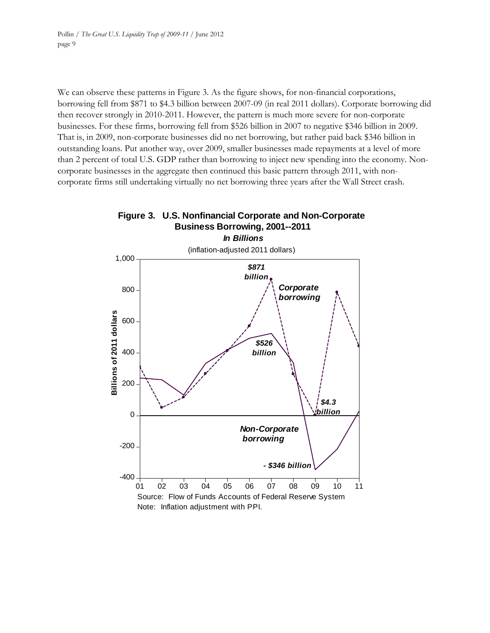We can observe these patterns in Figure 3. As the figure shows, for non-financial corporations, borrowing fell from \$871 to \$4.3 billion between 2007-09 (in real 2011 dollars). Corporate borrowing did then recover strongly in 2010-2011. However, the pattern is much more severe for non-corporate businesses. For these firms, borrowing fell from \$526 billion in 2007 to negative \$346 billion in 2009. That is, in 2009, non-corporate businesses did no net borrowing, but rather paid back \$346 billion in outstanding loans. Put another way, over 2009, smaller businesses made repayments at a level of more than 2 percent of total U.S. GDP rather than borrowing to inject new spending into the economy. Noncorporate businesses in the aggregate then continued this basic pattern through 2011, with noncorporate firms still undertaking virtually no net borrowing three years after the Wall Street crash.

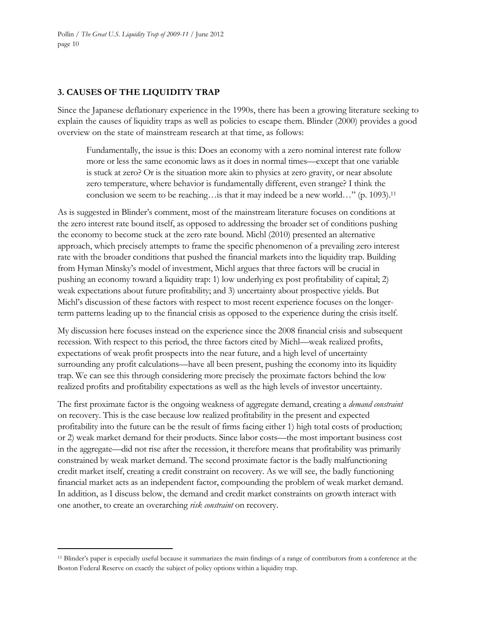#### **3. CAUSES OF THE LIQUIDITY TRAP**

 $\overline{a}$ 

Since the Japanese deflationary experience in the 1990s, there has been a growing literature seeking to explain the causes of liquidity traps as well as policies to escape them. Blinder (2000) provides a good overview on the state of mainstream research at that time, as follows:

Fundamentally, the issue is this: Does an economy with a zero nominal interest rate follow more or less the same economic laws as it does in normal times—except that one variable is stuck at zero? Or is the situation more akin to physics at zero gravity, or near absolute zero temperature, where behavior is fundamentally different, even strange? I think the conclusion we seem to be reaching…is that it may indeed be a new world…" (p. 1093).<sup>11</sup>

As is suggested in Blinder's comment, most of the mainstream literature focuses on conditions at the zero interest rate bound itself, as opposed to addressing the broader set of conditions pushing the economy to become stuck at the zero rate bound. Michl (2010) presented an alternative approach, which precisely attempts to frame the specific phenomenon of a prevailing zero interest rate with the broader conditions that pushed the financial markets into the liquidity trap. Building from Hyman Minsky's model of investment, Michl argues that three factors will be crucial in pushing an economy toward a liquidity trap: 1) low underlying ex post profitability of capital; 2) weak expectations about future profitability; and 3) uncertainty about prospective yields. But Michl's discussion of these factors with respect to most recent experience focuses on the longerterm patterns leading up to the financial crisis as opposed to the experience during the crisis itself.

My discussion here focuses instead on the experience since the 2008 financial crisis and subsequent recession. With respect to this period, the three factors cited by Michl—weak realized profits, expectations of weak profit prospects into the near future, and a high level of uncertainty surrounding any profit calculations—have all been present, pushing the economy into its liquidity trap. We can see this through considering more precisely the proximate factors behind the low realized profits and profitability expectations as well as the high levels of investor uncertainty.

The first proximate factor is the ongoing weakness of aggregate demand, creating a *demand constraint*  on recovery. This is the case because low realized profitability in the present and expected profitability into the future can be the result of firms facing either 1) high total costs of production; or 2) weak market demand for their products. Since labor costs—the most important business cost in the aggregate—did not rise after the recession, it therefore means that profitability was primarily constrained by weak market demand. The second proximate factor is the badly malfunctioning credit market itself, creating a credit constraint on recovery. As we will see, the badly functioning financial market acts as an independent factor, compounding the problem of weak market demand. In addition, as I discuss below, the demand and credit market constraints on growth interact with one another, to create an overarching *risk constraint* on recovery.

<sup>11</sup> Blinder's paper is especially useful because it summarizes the main findings of a range of contributors from a conference at the Boston Federal Reserve on exactly the subject of policy options within a liquidity trap.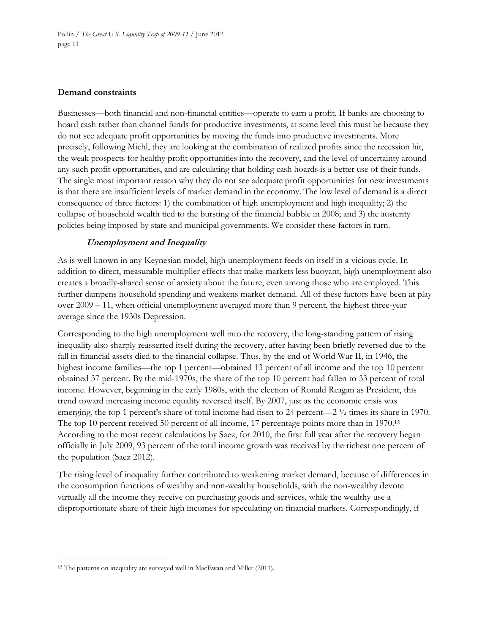#### **Demand constraints**

Businesses—both financial and non-financial entities—operate to earn a profit. If banks are choosing to hoard cash rather than channel funds for productive investments, at some level this must be because they do not see adequate profit opportunities by moving the funds into productive investments. More precisely, following Michl, they are looking at the combination of realized profits since the recession hit, the weak prospects for healthy profit opportunities into the recovery, and the level of uncertainty around any such profit opportunities, and are calculating that holding cash hoards is a better use of their funds. The single most important reason why they do not see adequate profit opportunities for new investments is that there are insufficient levels of market demand in the economy. The low level of demand is a direct consequence of three factors: 1) the combination of high unemployment and high inequality; 2) the collapse of household wealth tied to the bursting of the financial bubble in 2008; and 3) the austerity policies being imposed by state and municipal governments. We consider these factors in turn.

#### **Unemployment and Inequality**

As is well known in any Keynesian model, high unemployment feeds on itself in a vicious cycle. In addition to direct, measurable multiplier effects that make markets less buoyant, high unemployment also creates a broadly-shared sense of anxiety about the future, even among those who are employed. This further dampens household spending and weakens market demand. All of these factors have been at play over 2009 – 11, when official unemployment averaged more than 9 percent, the highest three-year average since the 1930s Depression.

Corresponding to the high unemployment well into the recovery, the long-standing pattern of rising inequality also sharply reasserted itself during the recovery, after having been briefly reversed due to the fall in financial assets died to the financial collapse. Thus, by the end of World War II, in 1946, the highest income families—the top 1 percent—obtained 13 percent of all income and the top 10 percent obtained 37 percent. By the mid-1970s, the share of the top 10 percent had fallen to 33 percent of total income. However, beginning in the early 1980s, with the election of Ronald Reagan as President, this trend toward increasing income equality reversed itself. By 2007, just as the economic crisis was emerging, the top 1 percent's share of total income had risen to 24 percent—2  $\frac{1}{2}$  times its share in 1970. The top 10 percent received 50 percent of all income, 17 percentage points more than in 1970.12 According to the most recent calculations by Saez, for 2010, the first full year after the recovery began officially in July 2009, 93 percent of the total income growth was received by the richest one percent of the population (Saez 2012).

The rising level of inequality further contributed to weakening market demand, because of differences in the consumption functions of wealthy and non-wealthy households, with the non-wealthy devote virtually all the income they receive on purchasing goods and services, while the wealthy use a disproportionate share of their high incomes for speculating on financial markets. Correspondingly, if

<sup>&</sup>lt;sup>12</sup> The patterns on inequality are surveyed well in MacEwan and Miller (2011).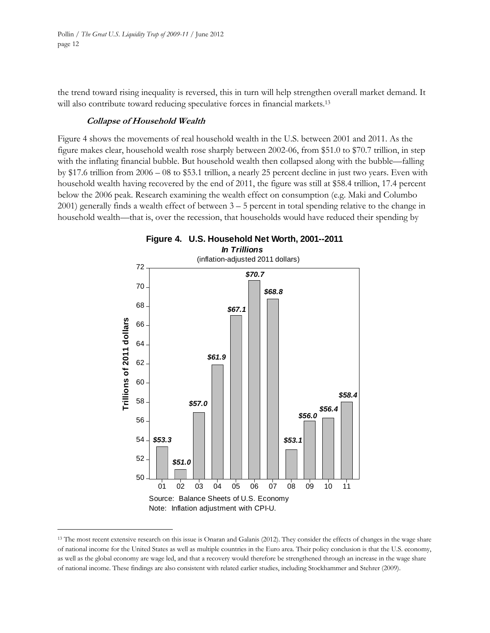the trend toward rising inequality is reversed, this in turn will help strengthen overall market demand. It will also contribute toward reducing speculative forces in financial markets.<sup>13</sup>

#### **Collapse of Household Wealth**

 $\overline{a}$ 

Figure 4 shows the movements of real household wealth in the U.S. between 2001 and 2011. As the figure makes clear, household wealth rose sharply between 2002-06, from \$51.0 to \$70.7 trillion, in step with the inflating financial bubble. But household wealth then collapsed along with the bubble—falling by \$17.6 trillion from 2006 – 08 to \$53.1 trillion, a nearly 25 percent decline in just two years. Even with household wealth having recovered by the end of 2011, the figure was still at \$58.4 trillion, 17.4 percent below the 2006 peak. Research examining the wealth effect on consumption (e.g. Maki and Columbo 2001) generally finds a wealth effect of between 3 – 5 percent in total spending relative to the change in household wealth—that is, over the recession, that households would have reduced their spending by



<sup>&</sup>lt;sup>13</sup> The most recent extensive research on this issue is Onaran and Galanis (2012). They consider the effects of changes in the wage share of national income for the United States as well as multiple countries in the Euro area. Their policy conclusion is that the U.S. economy, as well as the global economy are wage led, and that a recovery would therefore be strengthened through an increase in the wage share of national income. These findings are also consistent with related earlier studies, including Stockhammer and Stehrer (2009).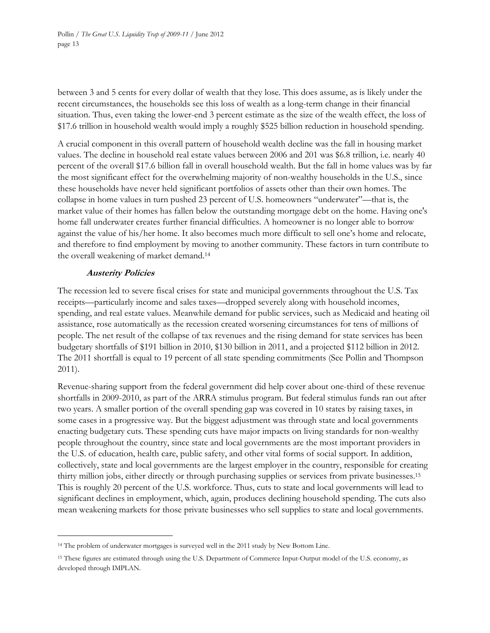between 3 and 5 cents for every dollar of wealth that they lose. This does assume, as is likely under the recent circumstances, the households see this loss of wealth as a long-term change in their financial situation. Thus, even taking the lower-end 3 percent estimate as the size of the wealth effect, the loss of \$17.6 trillion in household wealth would imply a roughly \$525 billion reduction in household spending.

A crucial component in this overall pattern of household wealth decline was the fall in housing market values. The decline in household real estate values between 2006 and 201 was \$6.8 trillion, i.e. nearly 40 percent of the overall \$17.6 billion fall in overall household wealth. But the fall in home values was by far the most significant effect for the overwhelming majority of non-wealthy households in the U.S., since these households have never held significant portfolios of assets other than their own homes. The collapse in home values in turn pushed 23 percent of U.S. homeowners "underwater"—that is, the market value of their homes has fallen below the outstanding mortgage debt on the home. Having one's home fall underwater creates further financial difficulties. A homeowner is no longer able to borrow against the value of his/her home. It also becomes much more difficult to sell one's home and relocate, and therefore to find employment by moving to another community. These factors in turn contribute to the overall weakening of market demand.14

#### **Austerity Policies**

 $\overline{a}$ 

The recession led to severe fiscal crises for state and municipal governments throughout the U.S. Tax receipts—particularly income and sales taxes—dropped severely along with household incomes, spending, and real estate values. Meanwhile demand for public services, such as Medicaid and heating oil assistance, rose automatically as the recession created worsening circumstances for tens of millions of people. The net result of the collapse of tax revenues and the rising demand for state services has been budgetary shortfalls of \$191 billion in 2010, \$130 billion in 2011, and a projected \$112 billion in 2012. The 2011 shortfall is equal to 19 percent of all state spending commitments (See Pollin and Thompson 2011).

Revenue-sharing support from the federal government did help cover about one-third of these revenue shortfalls in 2009-2010, as part of the ARRA stimulus program. But federal stimulus funds ran out after two years. A smaller portion of the overall spending gap was covered in 10 states by raising taxes, in some cases in a progressive way. But the biggest adjustment was through state and local governments enacting budgetary cuts. These spending cuts have major impacts on living standards for non-wealthy people throughout the country, since state and local governments are the most important providers in the U.S. of education, health care, public safety, and other vital forms of social support. In addition, collectively, state and local governments are the largest employer in the country, responsible for creating thirty million jobs, either directly or through purchasing supplies or services from private businesses.15 This is roughly 20 percent of the U.S. workforce. Thus, cuts to state and local governments will lead to significant declines in employment, which, again, produces declining household spending. The cuts also mean weakening markets for those private businesses who sell supplies to state and local governments.

<sup>&</sup>lt;sup>14</sup> The problem of underwater mortgages is surveyed well in the 2011 study by New Bottom Line.

<sup>15</sup> These figures are estimated through using the U.S. Department of Commerce Input-Output model of the U.S. economy, as developed through IMPLAN.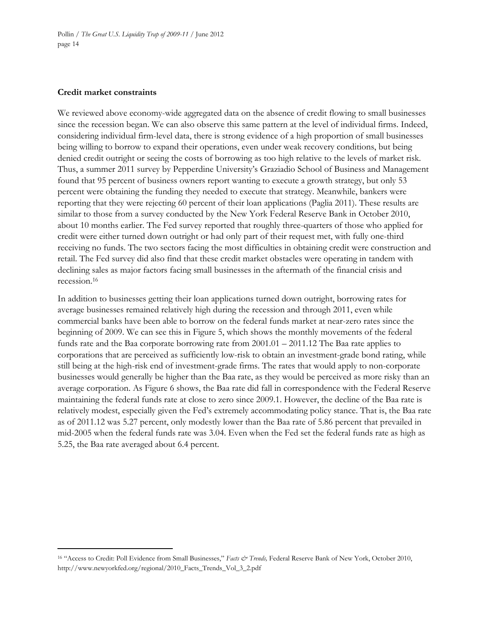#### **Credit market constraints**

 $\overline{a}$ 

We reviewed above economy-wide aggregated data on the absence of credit flowing to small businesses since the recession began. We can also observe this same pattern at the level of individual firms. Indeed, considering individual firm-level data, there is strong evidence of a high proportion of small businesses being willing to borrow to expand their operations, even under weak recovery conditions, but being denied credit outright or seeing the costs of borrowing as too high relative to the levels of market risk. Thus, a summer 2011 survey by Pepperdine University's Graziadio School of Business and Management found that 95 percent of business owners report wanting to execute a growth strategy, but only 53 percent were obtaining the funding they needed to execute that strategy. Meanwhile, bankers were reporting that they were rejecting 60 percent of their loan applications (Paglia 2011). These results are similar to those from a survey conducted by the New York Federal Reserve Bank in October 2010, about 10 months earlier. The Fed survey reported that roughly three-quarters of those who applied for credit were either turned down outright or had only part of their request met, with fully one-third receiving no funds. The two sectors facing the most difficulties in obtaining credit were construction and retail. The Fed survey did also find that these credit market obstacles were operating in tandem with declining sales as major factors facing small businesses in the aftermath of the financial crisis and recession.16

In addition to businesses getting their loan applications turned down outright, borrowing rates for average businesses remained relatively high during the recession and through 2011, even while commercial banks have been able to borrow on the federal funds market at near-zero rates since the beginning of 2009. We can see this in Figure 5, which shows the monthly movements of the federal funds rate and the Baa corporate borrowing rate from 2001.01 – 2011.12 The Baa rate applies to corporations that are perceived as sufficiently low-risk to obtain an investment-grade bond rating, while still being at the high-risk end of investment-grade firms. The rates that would apply to non-corporate businesses would generally be higher than the Baa rate, as they would be perceived as more risky than an average corporation. As Figure 6 shows, the Baa rate did fall in correspondence with the Federal Reserve maintaining the federal funds rate at close to zero since 2009.1. However, the decline of the Baa rate is relatively modest, especially given the Fed's extremely accommodating policy stance. That is, the Baa rate as of 2011.12 was 5.27 percent, only modestly lower than the Baa rate of 5.86 percent that prevailed in mid-2005 when the federal funds rate was 3.04. Even when the Fed set the federal funds rate as high as 5.25, the Baa rate averaged about 6.4 percent.

<sup>16 &</sup>quot;Access to Credit: Poll Evidence from Small Businesses," *Facts & Trends,* Federal Reserve Bank of New York, October 2010, http://www.newyorkfed.org/regional/2010\_Facts\_Trends\_Vol\_3\_2.pdf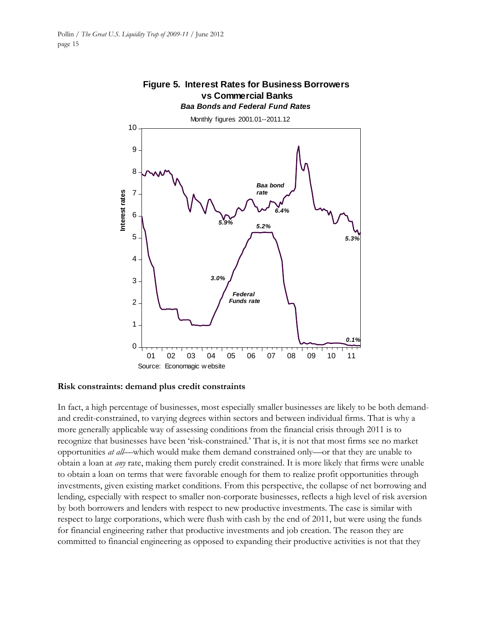

### **Figure 5. Interest Rates for Business Borrowers vs Commercial Banks**

#### **Risk constraints: demand plus credit constraints**

In fact, a high percentage of businesses, most especially smaller businesses are likely to be both demandand credit-constrained, to varying degrees within sectors and between individual firms. That is why a more generally applicable way of assessing conditions from the financial crisis through 2011 is to recognize that businesses have been 'risk-constrained.' That is, it is not that most firms see no market opportunities *at all*—which would make them demand constrained only—or that they are unable to obtain a loan at *any* rate, making them purely credit constrained. It is more likely that firms were unable to obtain a loan on terms that were favorable enough for them to realize profit opportunities through investments, given existing market conditions. From this perspective, the collapse of net borrowing and lending, especially with respect to smaller non-corporate businesses, reflects a high level of risk aversion by both borrowers and lenders with respect to new productive investments. The case is similar with respect to large corporations, which were flush with cash by the end of 2011, but were using the funds for financial engineering rather that productive investments and job creation. The reason they are committed to financial engineering as opposed to expanding their productive activities is not that they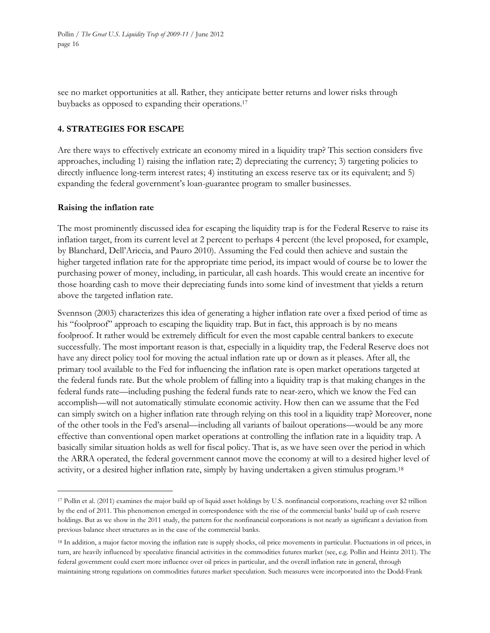see no market opportunities at all. Rather, they anticipate better returns and lower risks through buybacks as opposed to expanding their operations.17

#### **4. STRATEGIES FOR ESCAPE**

Are there ways to effectively extricate an economy mired in a liquidity trap? This section considers five approaches, including 1) raising the inflation rate; 2) depreciating the currency; 3) targeting policies to directly influence long-term interest rates; 4) instituting an excess reserve tax or its equivalent; and 5) expanding the federal government's loan-guarantee program to smaller businesses.

#### **Raising the inflation rate**

 $\overline{a}$ 

The most prominently discussed idea for escaping the liquidity trap is for the Federal Reserve to raise its inflation target, from its current level at 2 percent to perhaps 4 percent (the level proposed, for example, by Blanchard, Dell'Ariccia, and Pauro 2010). Assuming the Fed could then achieve and sustain the higher targeted inflation rate for the appropriate time period, its impact would of course be to lower the purchasing power of money, including, in particular, all cash hoards. This would create an incentive for those hoarding cash to move their depreciating funds into some kind of investment that yields a return above the targeted inflation rate.

Svennson (2003) characterizes this idea of generating a higher inflation rate over a fixed period of time as his "foolproof" approach to escaping the liquidity trap. But in fact, this approach is by no means foolproof. It rather would be extremely difficult for even the most capable central bankers to execute successfully. The most important reason is that, especially in a liquidity trap, the Federal Reserve does not have any direct policy tool for moving the actual inflation rate up or down as it pleases. After all, the primary tool available to the Fed for influencing the inflation rate is open market operations targeted at the federal funds rate. But the whole problem of falling into a liquidity trap is that making changes in the federal funds rate—including pushing the federal funds rate to near-zero, which we know the Fed can accomplish—will not automatically stimulate economic activity. How then can we assume that the Fed can simply switch on a higher inflation rate through relying on this tool in a liquidity trap? Moreover, none of the other tools in the Fed's arsenal—including all variants of bailout operations—would be any more effective than conventional open market operations at controlling the inflation rate in a liquidity trap. A basically similar situation holds as well for fiscal policy. That is, as we have seen over the period in which the ARRA operated, the federal government cannot move the economy at will to a desired higher level of activity, or a desired higher inflation rate, simply by having undertaken a given stimulus program.18

<sup>17</sup> Pollin et al. (2011) examines the major build up of liquid asset holdings by U.S. nonfinancial corporations, reaching over \$2 trillion by the end of 2011. This phenomenon emerged in correspondence with the rise of the commercial banks' build up of cash reserve holdings. But as we show in the 2011 study, the pattern for the nonfinancial corporations is not nearly as significant a deviation from previous balance sheet structures as in the case of the commercial banks.

<sup>&</sup>lt;sup>18</sup> In addition, a major factor moving the inflation rate is supply shocks, oil price movements in particular. Fluctuations in oil prices, in turn, are heavily influenced by speculative financial activities in the commodities futures market (see, e.g. Pollin and Heintz 2011). The federal government could exert more influence over oil prices in particular, and the overall inflation rate in general, through maintaining strong regulations on commodities futures market speculation. Such measures were incorporated into the Dodd-Frank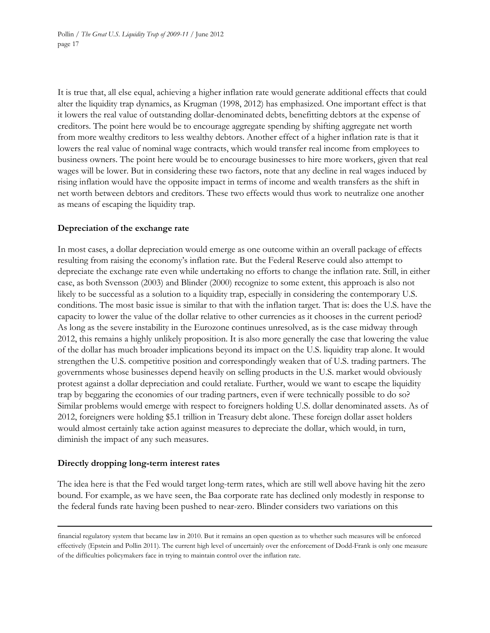It is true that, all else equal, achieving a higher inflation rate would generate additional effects that could alter the liquidity trap dynamics, as Krugman (1998, 2012) has emphasized. One important effect is that it lowers the real value of outstanding dollar-denominated debts, benefitting debtors at the expense of creditors. The point here would be to encourage aggregate spending by shifting aggregate net worth from more wealthy creditors to less wealthy debtors. Another effect of a higher inflation rate is that it lowers the real value of nominal wage contracts, which would transfer real income from employees to business owners. The point here would be to encourage businesses to hire more workers, given that real wages will be lower. But in considering these two factors, note that any decline in real wages induced by rising inflation would have the opposite impact in terms of income and wealth transfers as the shift in net worth between debtors and creditors. These two effects would thus work to neutralize one another as means of escaping the liquidity trap.

#### **Depreciation of the exchange rate**

In most cases, a dollar depreciation would emerge as one outcome within an overall package of effects resulting from raising the economy's inflation rate. But the Federal Reserve could also attempt to depreciate the exchange rate even while undertaking no efforts to change the inflation rate. Still, in either case, as both Svensson (2003) and Blinder (2000) recognize to some extent, this approach is also not likely to be successful as a solution to a liquidity trap, especially in considering the contemporary U.S. conditions. The most basic issue is similar to that with the inflation target. That is: does the U.S. have the capacity to lower the value of the dollar relative to other currencies as it chooses in the current period? As long as the severe instability in the Eurozone continues unresolved, as is the case midway through 2012, this remains a highly unlikely proposition. It is also more generally the case that lowering the value of the dollar has much broader implications beyond its impact on the U.S. liquidity trap alone. It would strengthen the U.S. competitive position and correspondingly weaken that of U.S. trading partners. The governments whose businesses depend heavily on selling products in the U.S. market would obviously protest against a dollar depreciation and could retaliate. Further, would we want to escape the liquidity trap by beggaring the economies of our trading partners, even if were technically possible to do so? Similar problems would emerge with respect to foreigners holding U.S. dollar denominated assets. As of 2012, foreigners were holding \$5.1 trillion in Treasury debt alone. These foreign dollar asset holders would almost certainly take action against measures to depreciate the dollar, which would, in turn, diminish the impact of any such measures.

#### **Directly dropping long-term interest rates**

 $\overline{a}$ 

The idea here is that the Fed would target long-term rates, which are still well above having hit the zero bound. For example, as we have seen, the Baa corporate rate has declined only modestly in response to the federal funds rate having been pushed to near-zero. Blinder considers two variations on this

financial regulatory system that became law in 2010. But it remains an open question as to whether such measures will be enforced effectively (Epstein and Pollin 2011). The current high level of uncertainly over the enforcement of Dodd-Frank is only one measure of the difficulties policymakers face in trying to maintain control over the inflation rate.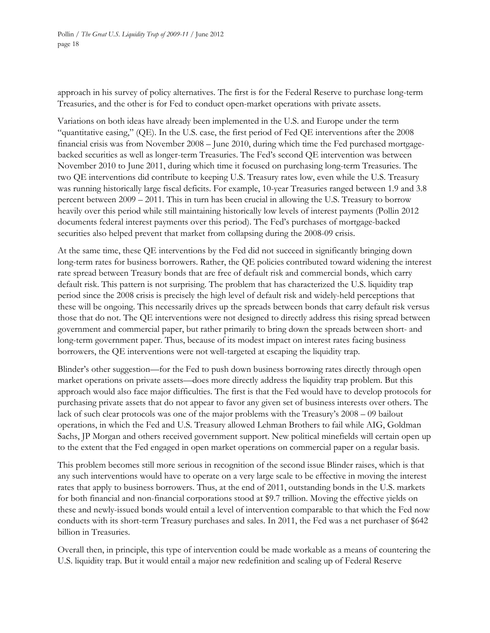approach in his survey of policy alternatives. The first is for the Federal Reserve to purchase long-term Treasuries, and the other is for Fed to conduct open-market operations with private assets.

Variations on both ideas have already been implemented in the U.S. and Europe under the term "quantitative easing," (QE). In the U.S. case, the first period of Fed QE interventions after the 2008 financial crisis was from November 2008 – June 2010, during which time the Fed purchased mortgagebacked securities as well as longer-term Treasuries. The Fed's second QE intervention was between November 2010 to June 2011, during which time it focused on purchasing long-term Treasuries. The two QE interventions did contribute to keeping U.S. Treasury rates low, even while the U.S. Treasury was running historically large fiscal deficits. For example, 10-year Treasuries ranged between 1.9 and 3.8 percent between 2009 – 2011. This in turn has been crucial in allowing the U.S. Treasury to borrow heavily over this period while still maintaining historically low levels of interest payments (Pollin 2012 documents federal interest payments over this period). The Fed's purchases of mortgage-backed securities also helped prevent that market from collapsing during the 2008-09 crisis.

At the same time, these QE interventions by the Fed did not succeed in significantly bringing down long-term rates for business borrowers. Rather, the QE policies contributed toward widening the interest rate spread between Treasury bonds that are free of default risk and commercial bonds, which carry default risk. This pattern is not surprising. The problem that has characterized the U.S. liquidity trap period since the 2008 crisis is precisely the high level of default risk and widely-held perceptions that these will be ongoing. This necessarily drives up the spreads between bonds that carry default risk versus those that do not. The QE interventions were not designed to directly address this rising spread between government and commercial paper, but rather primarily to bring down the spreads between short- and long-term government paper. Thus, because of its modest impact on interest rates facing business borrowers, the QE interventions were not well-targeted at escaping the liquidity trap.

Blinder's other suggestion—for the Fed to push down business borrowing rates directly through open market operations on private assets—does more directly address the liquidity trap problem. But this approach would also face major difficulties. The first is that the Fed would have to develop protocols for purchasing private assets that do not appear to favor any given set of business interests over others. The lack of such clear protocols was one of the major problems with the Treasury's 2008 – 09 bailout operations, in which the Fed and U.S. Treasury allowed Lehman Brothers to fail while AIG, Goldman Sachs, JP Morgan and others received government support. New political minefields will certain open up to the extent that the Fed engaged in open market operations on commercial paper on a regular basis.

This problem becomes still more serious in recognition of the second issue Blinder raises, which is that any such interventions would have to operate on a very large scale to be effective in moving the interest rates that apply to business borrowers. Thus, at the end of 2011, outstanding bonds in the U.S. markets for both financial and non-financial corporations stood at \$9.7 trillion. Moving the effective yields on these and newly-issued bonds would entail a level of intervention comparable to that which the Fed now conducts with its short-term Treasury purchases and sales. In 2011, the Fed was a net purchaser of \$642 billion in Treasuries.

Overall then, in principle, this type of intervention could be made workable as a means of countering the U.S. liquidity trap. But it would entail a major new redefinition and scaling up of Federal Reserve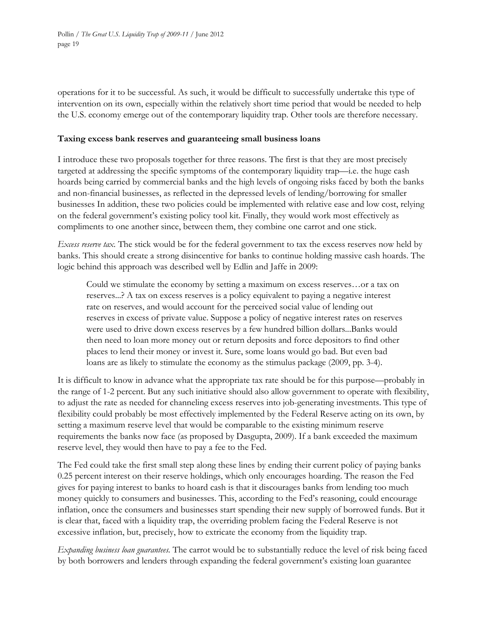operations for it to be successful. As such, it would be difficult to successfully undertake this type of intervention on its own, especially within the relatively short time period that would be needed to help the U.S. economy emerge out of the contemporary liquidity trap. Other tools are therefore necessary.

#### **Taxing excess bank reserves and guaranteeing small business loans**

I introduce these two proposals together for three reasons. The first is that they are most precisely targeted at addressing the specific symptoms of the contemporary liquidity trap—i.e. the huge cash hoards being carried by commercial banks and the high levels of ongoing risks faced by both the banks and non-financial businesses, as reflected in the depressed levels of lending/borrowing for smaller businesses In addition, these two policies could be implemented with relative ease and low cost, relying on the federal government's existing policy tool kit. Finally, they would work most effectively as compliments to one another since, between them, they combine one carrot and one stick.

*Excess reserve tax.* The stick would be for the federal government to tax the excess reserves now held by banks. This should create a strong disincentive for banks to continue holding massive cash hoards. The logic behind this approach was described well by Edlin and Jaffe in 2009:

Could we stimulate the economy by setting a maximum on excess reserves…or a tax on reserves...? A tax on excess reserves is a policy equivalent to paying a negative interest rate on reserves, and would account for the perceived social value of lending out reserves in excess of private value. Suppose a policy of negative interest rates on reserves were used to drive down excess reserves by a few hundred billion dollars...Banks would then need to loan more money out or return deposits and force depositors to find other places to lend their money or invest it. Sure, some loans would go bad. But even bad loans are as likely to stimulate the economy as the stimulus package (2009, pp. 3-4).

It is difficult to know in advance what the appropriate tax rate should be for this purpose—probably in the range of 1-2 percent. But any such initiative should also allow government to operate with flexibility, to adjust the rate as needed for channeling excess reserves into job-generating investments. This type of flexibility could probably be most effectively implemented by the Federal Reserve acting on its own, by setting a maximum reserve level that would be comparable to the existing minimum reserve requirements the banks now face (as proposed by Dasgupta, 2009). If a bank exceeded the maximum reserve level, they would then have to pay a fee to the Fed.

The Fed could take the first small step along these lines by ending their current policy of paying banks 0.25 percent interest on their reserve holdings, which only encourages hoarding. The reason the Fed gives for paying interest to banks to hoard cash is that it discourages banks from lending too much money quickly to consumers and businesses. This, according to the Fed's reasoning, could encourage inflation, once the consumers and businesses start spending their new supply of borrowed funds. But it is clear that, faced with a liquidity trap, the overriding problem facing the Federal Reserve is not excessive inflation, but, precisely, how to extricate the economy from the liquidity trap.

*Expanding business loan guarantees.* The carrot would be to substantially reduce the level of risk being faced by both borrowers and lenders through expanding the federal government's existing loan guarantee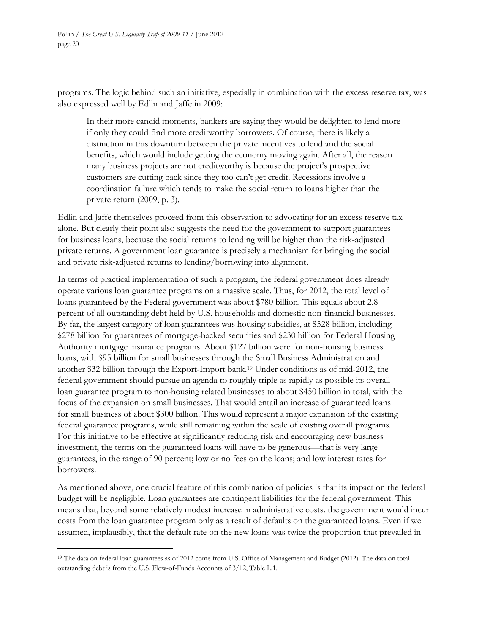programs. The logic behind such an initiative, especially in combination with the excess reserve tax, was also expressed well by Edlin and Jaffe in 2009:

In their more candid moments, bankers are saying they would be delighted to lend more if only they could find more creditworthy borrowers. Of course, there is likely a distinction in this downturn between the private incentives to lend and the social benefits, which would include getting the economy moving again. After all, the reason many business projects are not creditworthy is because the project's prospective customers are cutting back since they too can't get credit. Recessions involve a coordination failure which tends to make the social return to loans higher than the private return (2009, p. 3).

Edlin and Jaffe themselves proceed from this observation to advocating for an excess reserve tax alone. But clearly their point also suggests the need for the government to support guarantees for business loans, because the social returns to lending will be higher than the risk-adjusted private returns. A government loan guarantee is precisely a mechanism for bringing the social and private risk-adjusted returns to lending/borrowing into alignment.

In terms of practical implementation of such a program, the federal government does already operate various loan guarantee programs on a massive scale. Thus, for 2012, the total level of loans guaranteed by the Federal government was about \$780 billion. This equals about 2.8 percent of all outstanding debt held by U.S. households and domestic non-financial businesses. By far, the largest category of loan guarantees was housing subsidies, at \$528 billion, including \$278 billion for guarantees of mortgage-backed securities and \$230 billion for Federal Housing Authority mortgage insurance programs. About \$127 billion were for non-housing business loans, with \$95 billion for small businesses through the Small Business Administration and another \$32 billion through the Export-Import bank.19 Under conditions as of mid-2012, the federal government should pursue an agenda to roughly triple as rapidly as possible its overall loan guarantee program to non-housing related businesses to about \$450 billion in total, with the focus of the expansion on small businesses. That would entail an increase of guaranteed loans for small business of about \$300 billion. This would represent a major expansion of the existing federal guarantee programs, while still remaining within the scale of existing overall programs. For this initiative to be effective at significantly reducing risk and encouraging new business investment, the terms on the guaranteed loans will have to be generous—that is very large guarantees, in the range of 90 percent; low or no fees on the loans; and low interest rates for borrowers.

As mentioned above, one crucial feature of this combination of policies is that its impact on the federal budget will be negligible. Loan guarantees are contingent liabilities for the federal government. This means that, beyond some relatively modest increase in administrative costs. the government would incur costs from the loan guarantee program only as a result of defaults on the guaranteed loans. Even if we assumed, implausibly, that the default rate on the new loans was twice the proportion that prevailed in

<sup>19</sup> The data on federal loan guarantees as of 2012 come from U.S. Office of Management and Budget (2012). The data on total outstanding debt is from the U.S. Flow-of-Funds Accounts of 3/12, Table L.1.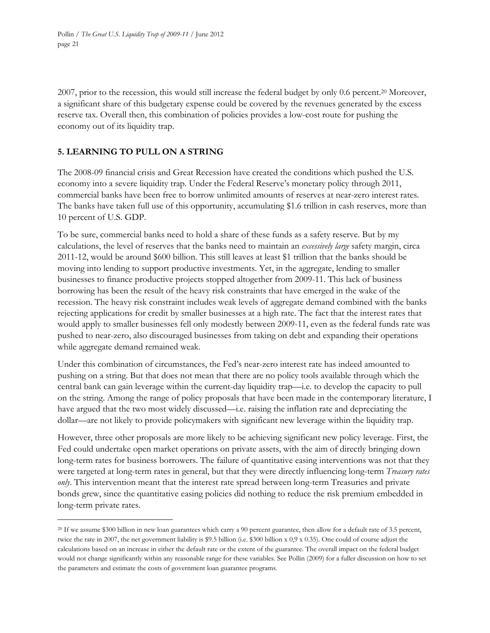2007, prior to the recession, this would still increase the federal budget by only 0.6 percent.20 Moreover, a significant share of this budgetary expense could be covered by the revenues generated by the excess reserve tax. Overall then, this combination of policies provides a low-cost route for pushing the economy out of its liquidity trap.

#### **5. LEARNING TO PULL ON A STRING**

 $\overline{a}$ 

The 2008-09 financial crisis and Great Recession have created the conditions which pushed the U.S. economy into a severe liquidity trap. Under the Federal Reserve's monetary policy through 2011, commercial banks have been free to borrow unlimited amounts of reserves at near-zero interest rates. The banks have taken full use of this opportunity, accumulating \$1.6 trillion in cash reserves, more than 10 percent of U.S. GDP.

To be sure, commercial banks need to hold a share of these funds as a safety reserve. But by my calculations, the level of reserves that the banks need to maintain an *excessively large* safety margin, circa 2011-12, would be around \$600 billion. This still leaves at least \$1 trillion that the banks should be moving into lending to support productive investments. Yet, in the aggregate, lending to smaller businesses to finance productive projects stopped altogether from 2009-11. This lack of business borrowing has been the result of the heavy risk constraints that have emerged in the wake of the recession. The heavy risk constraint includes weak levels of aggregate demand combined with the banks rejecting applications for credit by smaller businesses at a high rate. The fact that the interest rates that would apply to smaller businesses fell only modestly between 2009-11, even as the federal funds rate was pushed to near-zero, also discouraged businesses from taking on debt and expanding their operations while aggregate demand remained weak.

Under this combination of circumstances, the Fed's near-zero interest rate has indeed amounted to pushing on a string. But that does not mean that there are no policy tools available through which the central bank can gain leverage within the current-day liquidity trap—i.e. to develop the capacity to pull on the string. Among the range of policy proposals that have been made in the contemporary literature, I have argued that the two most widely discussed—i.e. raising the inflation rate and depreciating the dollar—are not likely to provide policymakers with significant new leverage within the liquidity trap.

However, three other proposals are more likely to be achieving significant new policy leverage. First, the Fed could undertake open market operations on private assets, with the aim of directly bringing down long-term rates for business borrowers. The failure of quantitative easing interventions was not that they were targeted at long-term rates in general, but that they were directly influencing long-term *Treasury rates only*. This intervention meant that the interest rate spread between long-term Treasuries and private bonds grew, since the quantitative easing policies did nothing to reduce the risk premium embedded in long-term private rates.

<sup>20</sup> If we assume \$300 billion in new loan guarantees which carry a 90 percent guarantee, then allow for a default rate of 3.5 percent, twice the rate in 2007, the net government liability is \$9.5 billion (i.e. \$300 billion x 0,9 x 0.35). One could of course adjust the calculations based on an increase in either the default rate or the extent of the guarantee. The overall impact on the federal budget would not change significantly within any reasonable range for these variables. See Pollin (2009) for a fuller discussion on how to set the parameters and estimate the costs of government loan guarantee programs.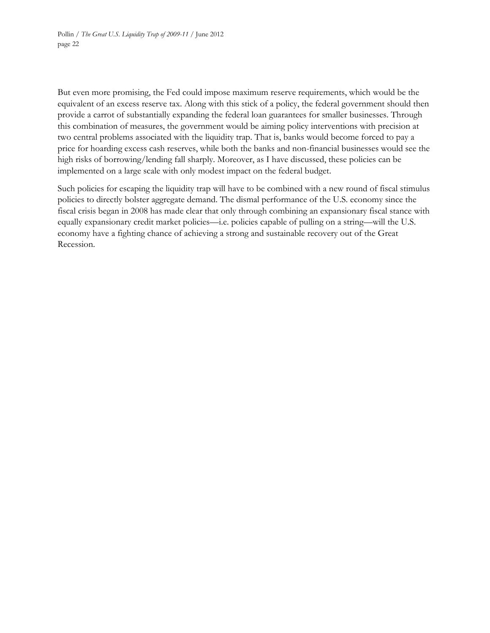But even more promising, the Fed could impose maximum reserve requirements, which would be the equivalent of an excess reserve tax. Along with this stick of a policy, the federal government should then provide a carrot of substantially expanding the federal loan guarantees for smaller businesses. Through this combination of measures, the government would be aiming policy interventions with precision at two central problems associated with the liquidity trap. That is, banks would become forced to pay a price for hoarding excess cash reserves, while both the banks and non-financial businesses would see the high risks of borrowing/lending fall sharply. Moreover, as I have discussed, these policies can be implemented on a large scale with only modest impact on the federal budget.

Such policies for escaping the liquidity trap will have to be combined with a new round of fiscal stimulus policies to directly bolster aggregate demand. The dismal performance of the U.S. economy since the fiscal crisis began in 2008 has made clear that only through combining an expansionary fiscal stance with equally expansionary credit market policies—i.e. policies capable of pulling on a string—will the U.S. economy have a fighting chance of achieving a strong and sustainable recovery out of the Great Recession.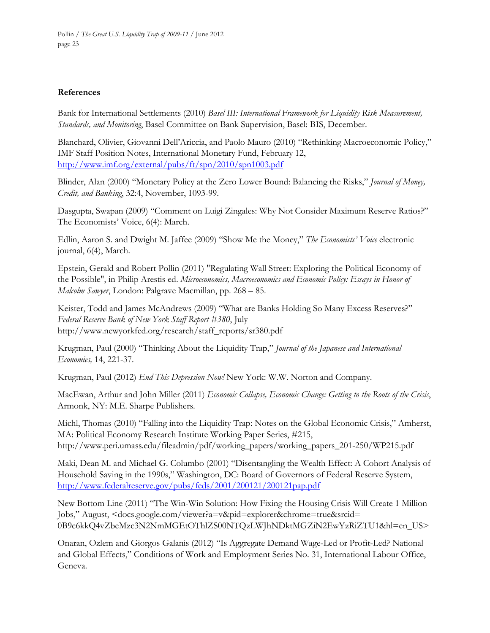#### **References**

Bank for International Settlements (2010) *Basel III: International Framework for Liquidity Risk Measurement, Standards, and Monitoring*, Basel Committee on Bank Supervision, Basel: BIS, December.

Blanchard, Olivier, Giovanni Dell'Ariccia, and Paolo Mauro (2010) "Rethinking Macroeconomic Policy," IMF Staff Position Notes, International Monetary Fund, February 12, http://www.imf.org/external/pubs/ft/spn/2010/spn1003.pdf

Blinder, Alan (2000) "Monetary Policy at the Zero Lower Bound: Balancing the Risks," *Journal of Money, Credit, and Banking*, 32:4, November, 1093-99.

Dasgupta, Swapan (2009) "Comment on Luigi Zingales: Why Not Consider Maximum Reserve Ratios?" The Economists' Voice, 6(4): March.

Edlin, Aaron S. and Dwight M. Jaffee (2009) "Show Me the Money," *The Economists' Voice* electronic journal, 6(4), March.

Epstein, Gerald and Robert Pollin (2011) "Regulating Wall Street: Exploring the Political Economy of the Possible", in Philip Arestis ed. *Microeconomics, Macroeconomics and Economic Policy: Essays in Honor of Malcolm Sawyer*, London: Palgrave Macmillan, pp. 268 – 85.

Keister, Todd and James McAndrews (2009) "What are Banks Holding So Many Excess Reserves?" *Federal Reserve Bank of New York Staff Report #380*, July http://www.newyorkfed.org/research/staff\_reports/sr380.pdf

Krugman, Paul (2000) "Thinking About the Liquidity Trap," *Journal of the Japanese and International Economies,* 14, 221-37.

Krugman, Paul (2012) *End This Depression Now!* New York: W.W. Norton and Company.

MacEwan, Arthur and John Miller (2011) *Economic Collapse, Economic Change: Getting to the Roots of the Crisis*, Armonk, NY: M.E. Sharpe Publishers.

Michl, Thomas (2010) "Falling into the Liquidity Trap: Notes on the Global Economic Crisis," Amherst, MA: Political Economy Research Institute Working Paper Series, #215, http://www.peri.umass.edu/fileadmin/pdf/working\_papers/working\_papers\_201-250/WP215.pdf

Maki, Dean M. and Michael G. Columbo (2001) "Disentangling the Wealth Effect: A Cohort Analysis of Household Saving in the 1990s," Washington, DC: Board of Governors of Federal Reserve System, http://www.federalreserve.gov/pubs/feds/2001/200121/200121pap.pdf

New Bottom Line (2011) "The Win-Win Solution: How Fixing the Housing Crisis Will Create 1 Million Jobs," August, <docs.google.com/viewer?a=v&pid=explorer&chrome=true&srcid= 0B9c6kkQ4vZbeMzc3N2NmMGEtOThlZS00NTQzLWJhNDktMGZiN2EwYzRiZTU1&hl=en\_US>

Onaran, Ozlem and Giorgos Galanis (2012) "Is Aggregate Demand Wage-Led or Profit-Led? National and Global Effects," Conditions of Work and Employment Series No. 31, International Labour Office, Geneva.